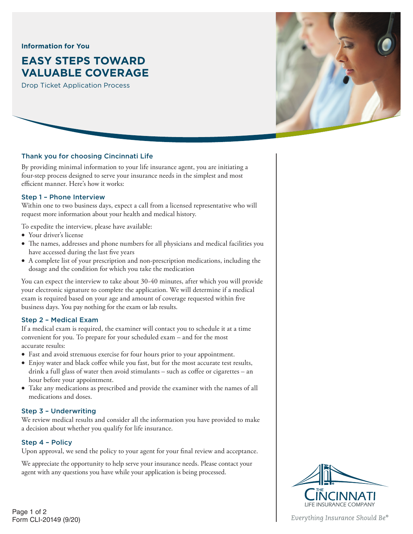### **Information for You**

# **EASY STEPS TOWARD VALUABLE COVERAGE**

Drop Ticket Application Process



## Thank you for choosing Cincinnati Life

By providing minimal information to your life insurance agent, you are initiating a four-step process designed to serve your insurance needs in the simplest and most efficient manner. Here's how it works:

## Step 1 – Phone Interview

Within one to two business days, expect a call from a licensed representative who will request more information about your health and medical history.

To expedite the interview, please have available:

- Your driver's license
- The names, addresses and phone numbers for all physicians and medical facilities you have accessed during the last five years
- A complete list of your prescription and non-prescription medications, including the dosage and the condition for which you take the medication

You can expect the interview to take about 30-40 minutes, after which you will provide your electronic signature to complete the application. We will determine if a medical exam is required based on your age and amount of coverage requested within five business days. You pay nothing for the exam or lab results.

#### Step 2 – Medical Exam

If a medical exam is required, the examiner will contact you to schedule it at a time convenient for you. To prepare for your scheduled exam – and for the most accurate results:

- Fast and avoid strenuous exercise for four hours prior to your appointment.
- Enjoy water and black coffee while you fast, but for the most accurate test results, drink a full glass of water then avoid stimulants – such as coffee or cigarettes – an hour before your appointment.
- Take any medications as prescribed and provide the examiner with the names of all medications and doses.

#### Step 3 – Underwriting

We review medical results and consider all the information you have provided to make a decision about whether you qualify for life insurance.

## Step 4 – Policy

Upon approval, we send the policy to your agent for your final review and acceptance.

We appreciate the opportunity to help serve your insurance needs. Please contact your agent with any questions you have while your application is being processed.